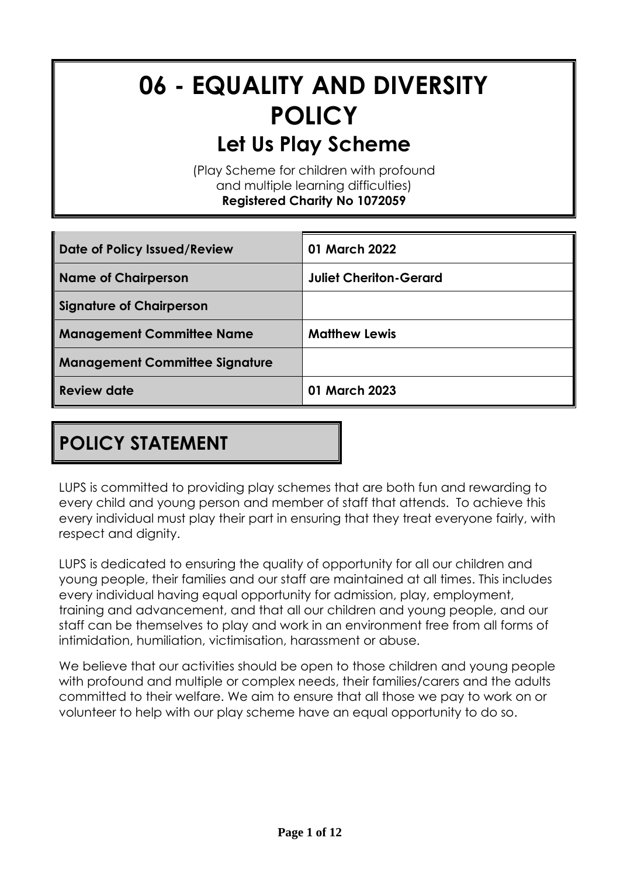# **06 - EQUALITY AND DIVERSITY POLICY Let Us Play Scheme**

(Play Scheme for children with profound and multiple learning difficulties) **Registered Charity No 1072059**

| Date of Policy Issued/Review          | 01 March 2022                 |
|---------------------------------------|-------------------------------|
| <b>Name of Chairperson</b>            | <b>Juliet Cheriton-Gerard</b> |
| <b>Signature of Chairperson</b>       |                               |
| <b>Management Committee Name</b>      | <b>Matthew Lewis</b>          |
| <b>Management Committee Signature</b> |                               |
| <b>Review date</b>                    | 01 March 2023                 |

## **POLICY STATEMENT**

LUPS is committed to providing play schemes that are both fun and rewarding to every child and young person and member of staff that attends. To achieve this every individual must play their part in ensuring that they treat everyone fairly, with respect and dignity.

LUPS is dedicated to ensuring the quality of opportunity for all our children and young people, their families and our staff are maintained at all times. This includes every individual having equal opportunity for admission, play, employment, training and advancement, and that all our children and young people, and our staff can be themselves to play and work in an environment free from all forms of intimidation, humiliation, victimisation, harassment or abuse.

We believe that our activities should be open to those children and young people with profound and multiple or complex needs, their families/carers and the adults committed to their welfare. We aim to ensure that all those we pay to work on or volunteer to help with our play scheme have an equal opportunity to do so.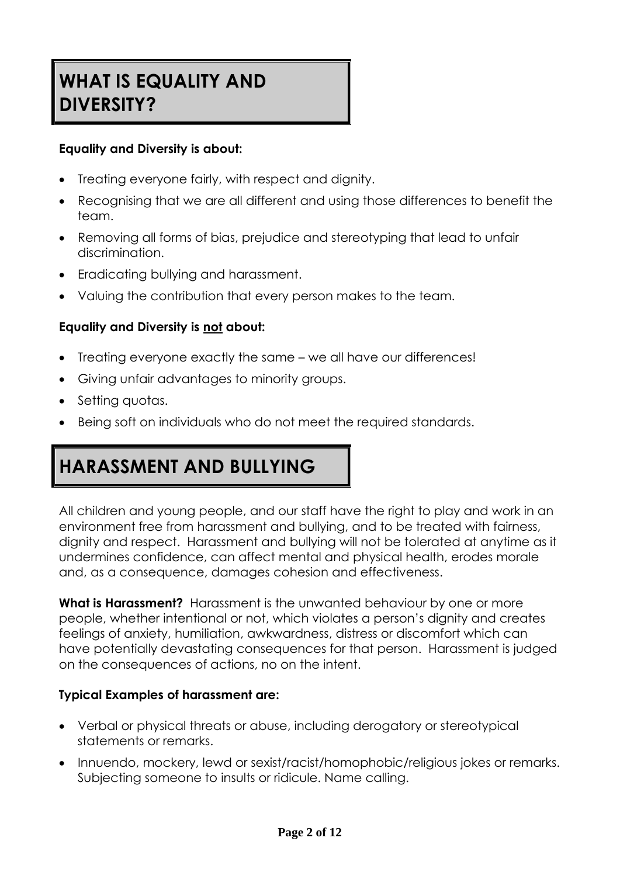## **WHAT IS EQUALITY AND DIVERSITY?**

#### **Equality and Diversity is about:**

- Treating everyone fairly, with respect and dignity.
- Recognising that we are all different and using those differences to benefit the team.
- Removing all forms of bias, prejudice and stereotyping that lead to unfair discrimination.
- Eradicating bullying and harassment.
- Valuing the contribution that every person makes to the team.

#### **Equality and Diversity is not about:**

- Treating everyone exactly the same we all have our differences!
- Giving unfair advantages to minority groups.
- Setting quotas.
- Being soft on individuals who do not meet the required standards.

### **HARASSMENT AND BULLYING**

All children and young people, and our staff have the right to play and work in an environment free from harassment and bullying, and to be treated with fairness, dignity and respect. Harassment and bullying will not be tolerated at anytime as it undermines confidence, can affect mental and physical health, erodes morale and, as a consequence, damages cohesion and effectiveness.

**What is Harassment?** Harassment is the unwanted behaviour by one or more people, whether intentional or not, which violates a person's dignity and creates feelings of anxiety, humiliation, awkwardness, distress or discomfort which can have potentially devastating consequences for that person. Harassment is judged on the consequences of actions, no on the intent.

#### **Typical Examples of harassment are:**

- Verbal or physical threats or abuse, including derogatory or stereotypical statements or remarks.
- Innuendo, mockery, lewd or sexist/racist/homophobic/religious jokes or remarks. Subjecting someone to insults or ridicule. Name calling.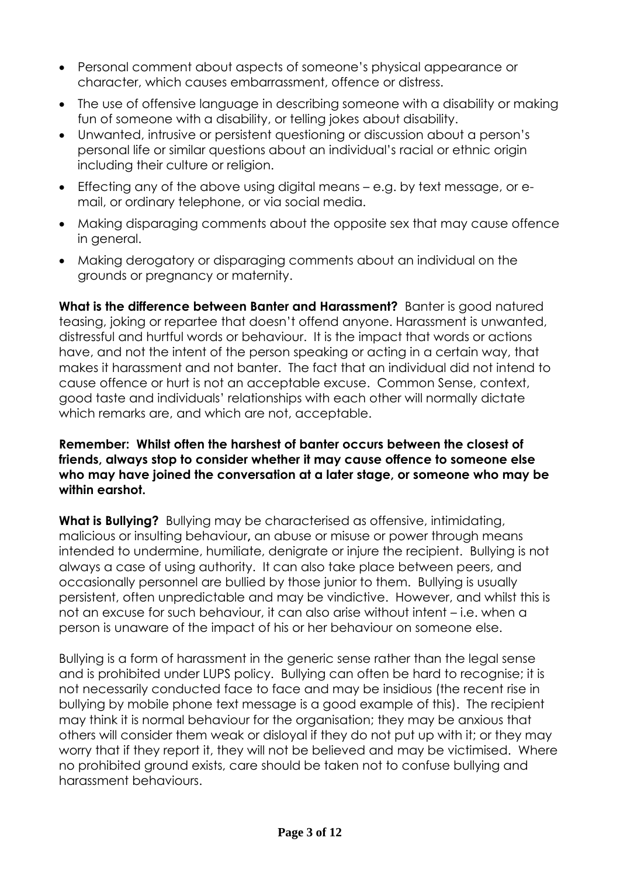- Personal comment about aspects of someone's physical appearance or character, which causes embarrassment, offence or distress.
- The use of offensive language in describing someone with a disability or making fun of someone with a disability, or telling jokes about disability.
- Unwanted, intrusive or persistent questioning or discussion about a person's personal life or similar questions about an individual's racial or ethnic origin including their culture or religion.
- Effecting any of the above using digital means e.g. by text message, or email, or ordinary telephone, or via social media.
- Making disparaging comments about the opposite sex that may cause offence in general.
- Making derogatory or disparaging comments about an individual on the grounds or pregnancy or maternity.

**What is the difference between Banter and Harassment?** Banter is good natured teasing, joking or repartee that doesn't offend anyone. Harassment is unwanted, distressful and hurtful words or behaviour. It is the impact that words or actions have, and not the intent of the person speaking or acting in a certain way, that makes it harassment and not banter. The fact that an individual did not intend to cause offence or hurt is not an acceptable excuse. Common Sense, context, good taste and individuals' relationships with each other will normally dictate which remarks are, and which are not, acceptable.

#### **Remember: Whilst often the harshest of banter occurs between the closest of friends, always stop to consider whether it may cause offence to someone else who may have joined the conversation at a later stage, or someone who may be within earshot.**

**What is Bullying?** Bullying may be characterised as offensive, intimidating, malicious or insulting behaviour**,** an abuse or misuse or power through means intended to undermine, humiliate, denigrate or injure the recipient. Bullying is not always a case of using authority. It can also take place between peers, and occasionally personnel are bullied by those junior to them. Bullying is usually persistent, often unpredictable and may be vindictive. However, and whilst this is not an excuse for such behaviour, it can also arise without intent – i.e. when a person is unaware of the impact of his or her behaviour on someone else.

Bullying is a form of harassment in the generic sense rather than the legal sense and is prohibited under LUPS policy. Bullying can often be hard to recognise; it is not necessarily conducted face to face and may be insidious (the recent rise in bullying by mobile phone text message is a good example of this). The recipient may think it is normal behaviour for the organisation; they may be anxious that others will consider them weak or disloyal if they do not put up with it; or they may worry that if they report it, they will not be believed and may be victimised. Where no prohibited ground exists, care should be taken not to confuse bullying and harassment behaviours.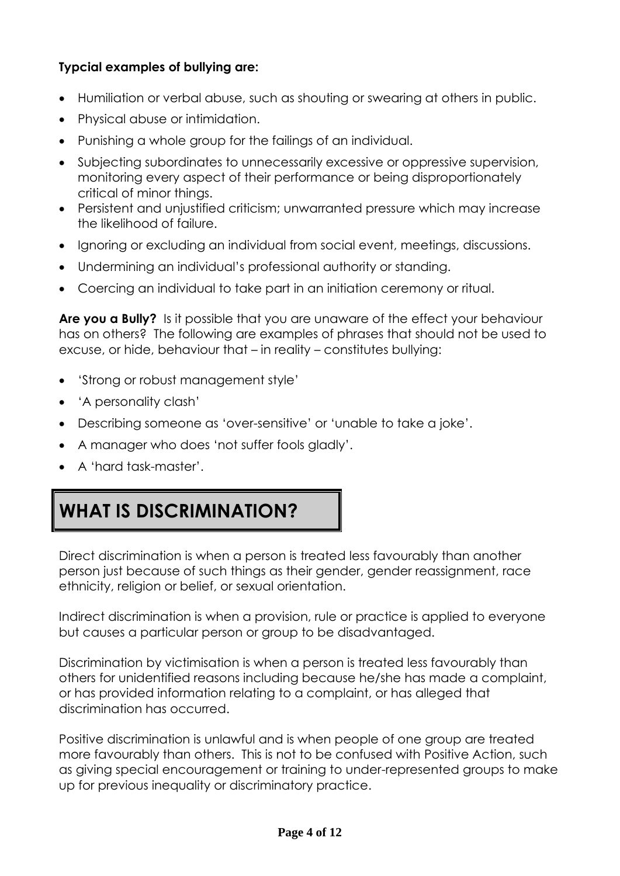#### **Typcial examples of bullying are:**

- Humiliation or verbal abuse, such as shouting or swearing at others in public.
- Physical abuse or intimidation.
- Punishing a whole group for the failings of an individual.
- Subjecting subordinates to unnecessarily excessive or oppressive supervision, monitoring every aspect of their performance or being disproportionately critical of minor things.
- Persistent and unjustified criticism; unwarranted pressure which may increase the likelihood of failure.
- Ignoring or excluding an individual from social event, meetings, discussions.
- Undermining an individual's professional authority or standing.
- Coercing an individual to take part in an initiation ceremony or ritual.

**Are you a Bully?** Is it possible that you are unaware of the effect your behaviour has on others? The following are examples of phrases that should not be used to excuse, or hide, behaviour that – in reality – constitutes bullying:

- 'Strong or robust management style'
- 'A personality clash'
- Describing someone as 'over-sensitive' or 'unable to take a joke'.
- A manager who does 'not suffer fools gladly'.
- A 'hard task-master'.

### **WHAT IS DISCRIMINATION?**

Direct discrimination is when a person is treated less favourably than another person just because of such things as their gender, gender reassignment, race ethnicity, religion or belief, or sexual orientation.

Indirect discrimination is when a provision, rule or practice is applied to everyone but causes a particular person or group to be disadvantaged.

Discrimination by victimisation is when a person is treated less favourably than others for unidentified reasons including because he/she has made a complaint, or has provided information relating to a complaint, or has alleged that discrimination has occurred.

Positive discrimination is unlawful and is when people of one group are treated more favourably than others. This is not to be confused with Positive Action, such as giving special encouragement or training to under-represented groups to make up for previous inequality or discriminatory practice.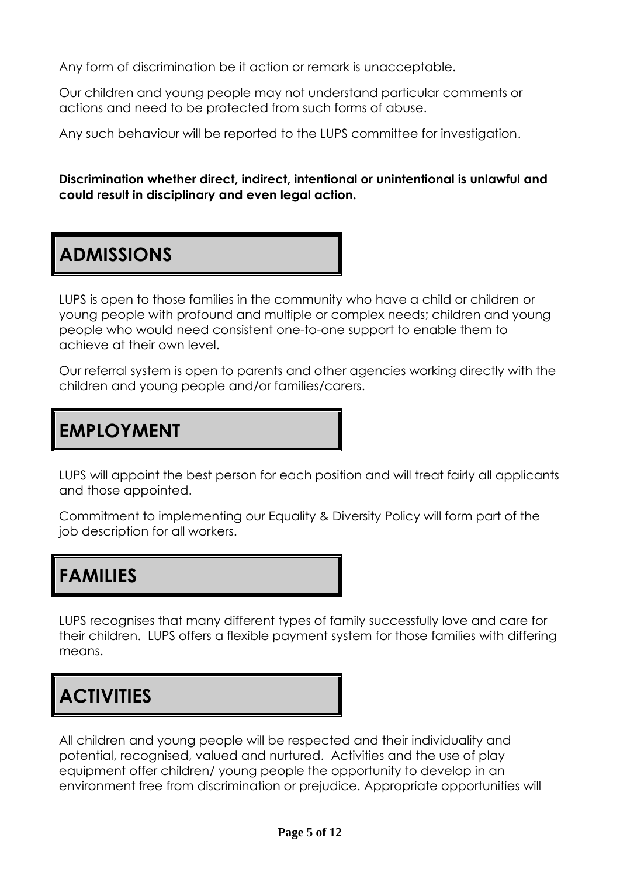Any form of discrimination be it action or remark is unacceptable.

Our children and young people may not understand particular comments or actions and need to be protected from such forms of abuse.

Any such behaviour will be reported to the LUPS committee for investigation.

**Discrimination whether direct, indirect, intentional or unintentional is unlawful and could result in disciplinary and even legal action.**

### **ADMISSIONS**

LUPS is open to those families in the community who have a child or children or young people with profound and multiple or complex needs; children and young people who would need consistent one-to-one support to enable them to achieve at their own level.

Our referral system is open to parents and other agencies working directly with the children and young people and/or families/carers.

# **EMPLOYMENT**

LUPS will appoint the best person for each position and will treat fairly all applicants and those appointed.

Commitment to implementing our Equality & Diversity Policy will form part of the job description for all workers.



LUPS recognises that many different types of family successfully love and care for their children. LUPS offers a flexible payment system for those families with differing means.

### **ACTIVITIES**

All children and young people will be respected and their individuality and potential, recognised, valued and nurtured. Activities and the use of play equipment offer children/ young people the opportunity to develop in an environment free from discrimination or prejudice. Appropriate opportunities will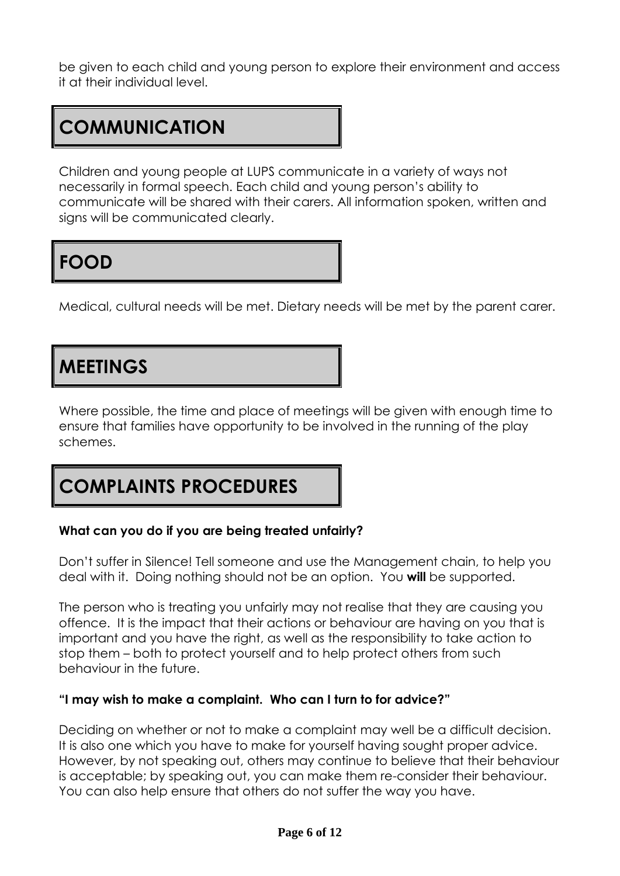be given to each child and young person to explore their environment and access it at their individual level.

## **COMMUNICATION**

Children and young people at LUPS communicate in a variety of ways not necessarily in formal speech. Each child and young person's ability to communicate will be shared with their carers. All information spoken, written and signs will be communicated clearly.

## **FOOD**

Medical, cultural needs will be met. Dietary needs will be met by the parent carer.

### **MEETINGS**

Where possible, the time and place of meetings will be given with enough time to ensure that families have opportunity to be involved in the running of the play schemes.

## **COMPLAINTS PROCEDURES**

#### **What can you do if you are being treated unfairly?**

Don't suffer in Silence! Tell someone and use the Management chain, to help you deal with it. Doing nothing should not be an option. You **will** be supported.

The person who is treating you unfairly may not realise that they are causing you offence. It is the impact that their actions or behaviour are having on you that is important and you have the right, as well as the responsibility to take action to stop them – both to protect yourself and to help protect others from such behaviour in the future.

#### **"I may wish to make a complaint. Who can I turn to for advice?"**

Deciding on whether or not to make a complaint may well be a difficult decision. It is also one which you have to make for yourself having sought proper advice. However, by not speaking out, others may continue to believe that their behaviour is acceptable; by speaking out, you can make them re-consider their behaviour. You can also help ensure that others do not suffer the way you have.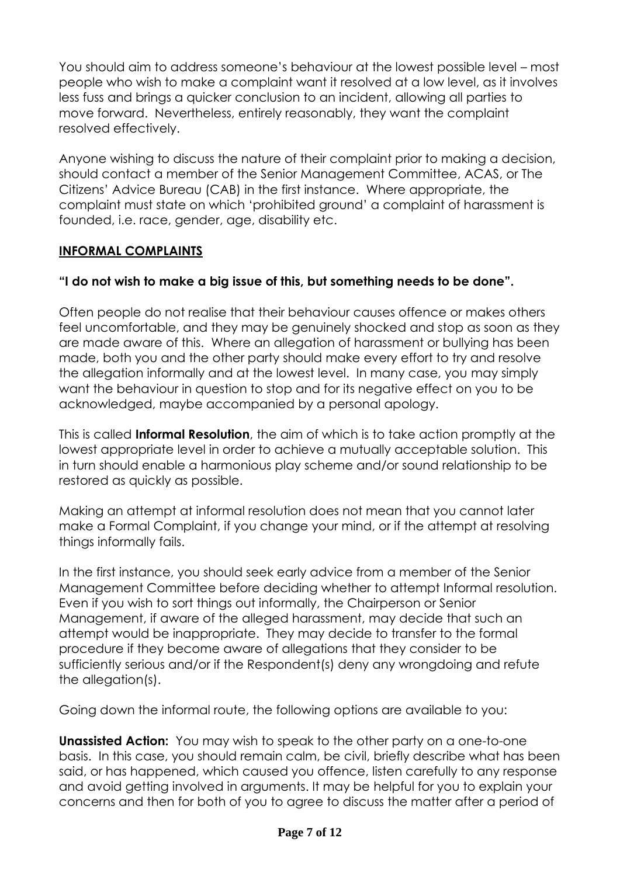You should aim to address someone's behaviour at the lowest possible level – most people who wish to make a complaint want it resolved at a low level, as it involves less fuss and brings a quicker conclusion to an incident, allowing all parties to move forward. Nevertheless, entirely reasonably, they want the complaint resolved effectively.

Anyone wishing to discuss the nature of their complaint prior to making a decision, should contact a member of the Senior Management Committee, ACAS, or The Citizens' Advice Bureau (CAB) in the first instance. Where appropriate, the complaint must state on which 'prohibited ground' a complaint of harassment is founded, i.e. race, gender, age, disability etc.

#### **INFORMAL COMPLAINTS**

#### **"I do not wish to make a big issue of this, but something needs to be done".**

Often people do not realise that their behaviour causes offence or makes others feel uncomfortable, and they may be genuinely shocked and stop as soon as they are made aware of this. Where an allegation of harassment or bullying has been made, both you and the other party should make every effort to try and resolve the allegation informally and at the lowest level. In many case, you may simply want the behaviour in question to stop and for its negative effect on you to be acknowledged, maybe accompanied by a personal apology.

This is called **Informal Resolution**, the aim of which is to take action promptly at the lowest appropriate level in order to achieve a mutually acceptable solution. This in turn should enable a harmonious play scheme and/or sound relationship to be restored as quickly as possible.

Making an attempt at informal resolution does not mean that you cannot later make a Formal Complaint, if you change your mind, or if the attempt at resolving things informally fails.

In the first instance, you should seek early advice from a member of the Senior Management Committee before deciding whether to attempt Informal resolution. Even if you wish to sort things out informally, the Chairperson or Senior Management, if aware of the alleged harassment, may decide that such an attempt would be inappropriate. They may decide to transfer to the formal procedure if they become aware of allegations that they consider to be sufficiently serious and/or if the Respondent(s) deny any wrongdoing and refute the allegation(s).

Going down the informal route, the following options are available to you:

**Unassisted Action:** You may wish to speak to the other party on a one-to-one basis. In this case, you should remain calm, be civil, briefly describe what has been said, or has happened, which caused you offence, listen carefully to any response and avoid getting involved in arguments. It may be helpful for you to explain your concerns and then for both of you to agree to discuss the matter after a period of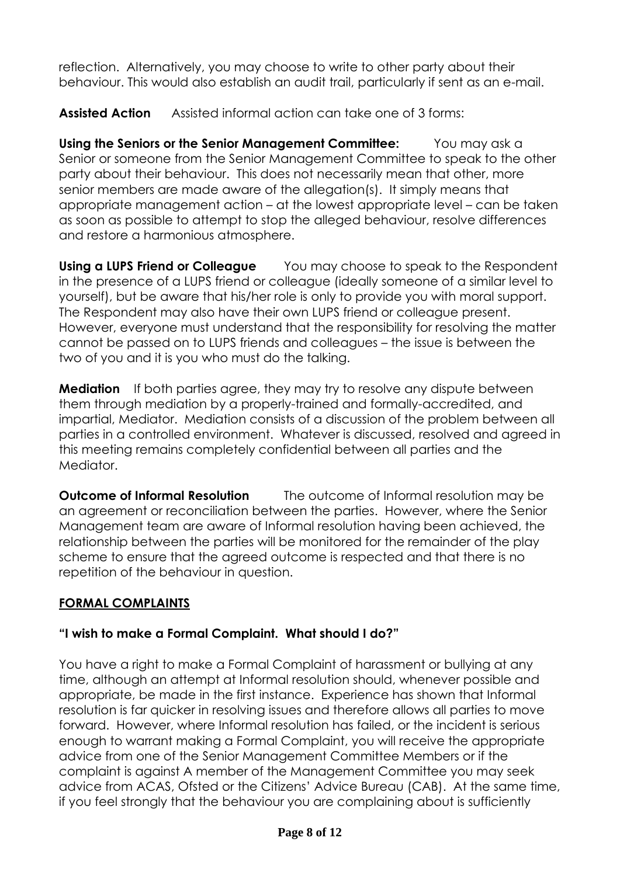reflection. Alternatively, you may choose to write to other party about their behaviour. This would also establish an audit trail, particularly if sent as an e-mail.

**Assisted Action** Assisted informal action can take one of 3 forms:

**Using the Seniors or the Senior Management Committee:** You may ask a Senior or someone from the Senior Management Committee to speak to the other party about their behaviour. This does not necessarily mean that other, more senior members are made aware of the allegation(s). It simply means that appropriate management action – at the lowest appropriate level – can be taken as soon as possible to attempt to stop the alleged behaviour, resolve differences and restore a harmonious atmosphere.

**Using a LUPS Friend or Colleague** You may choose to speak to the Respondent in the presence of a LUPS friend or colleague (ideally someone of a similar level to yourself), but be aware that his/her role is only to provide you with moral support. The Respondent may also have their own LUPS friend or colleague present. However, everyone must understand that the responsibility for resolving the matter cannot be passed on to LUPS friends and colleagues – the issue is between the two of you and it is you who must do the talking.

**Mediation** If both parties agree, they may try to resolve any dispute between them through mediation by a properly-trained and formally-accredited, and impartial, Mediator. Mediation consists of a discussion of the problem between all parties in a controlled environment. Whatever is discussed, resolved and agreed in this meeting remains completely confidential between all parties and the Mediator.

**Outcome of Informal Resolution** The outcome of Informal resolution may be an agreement or reconciliation between the parties. However, where the Senior Management team are aware of Informal resolution having been achieved, the relationship between the parties will be monitored for the remainder of the play scheme to ensure that the agreed outcome is respected and that there is no repetition of the behaviour in question.

#### **FORMAL COMPLAINTS**

#### **"I wish to make a Formal Complaint. What should I do?"**

You have a right to make a Formal Complaint of harassment or bullying at any time, although an attempt at Informal resolution should, whenever possible and appropriate, be made in the first instance. Experience has shown that Informal resolution is far quicker in resolving issues and therefore allows all parties to move forward. However, where Informal resolution has failed, or the incident is serious enough to warrant making a Formal Complaint, you will receive the appropriate advice from one of the Senior Management Committee Members or if the complaint is against A member of the Management Committee you may seek advice from ACAS, Ofsted or the Citizens' Advice Bureau (CAB). At the same time, if you feel strongly that the behaviour you are complaining about is sufficiently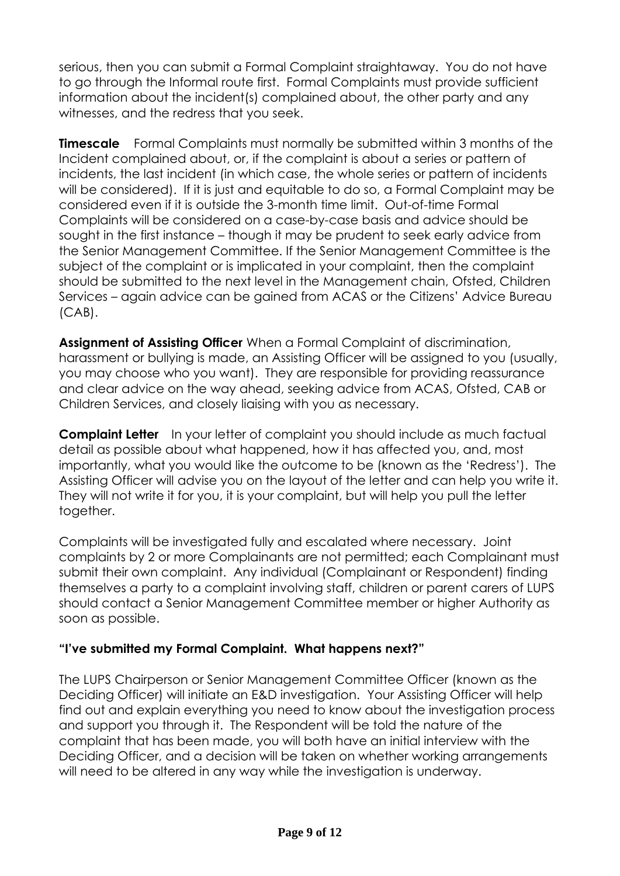serious, then you can submit a Formal Complaint straightaway. You do not have to go through the Informal route first. Formal Complaints must provide sufficient information about the incident(s) complained about, the other party and any witnesses, and the redress that you seek.

**Timescale** Formal Complaints must normally be submitted within 3 months of the Incident complained about, or, if the complaint is about a series or pattern of incidents, the last incident (in which case, the whole series or pattern of incidents will be considered). If it is just and equitable to do so, a Formal Complaint may be considered even if it is outside the 3-month time limit. Out-of-time Formal Complaints will be considered on a case-by-case basis and advice should be sought in the first instance – though it may be prudent to seek early advice from the Senior Management Committee. If the Senior Management Committee is the subject of the complaint or is implicated in your complaint, then the complaint should be submitted to the next level in the Management chain, Ofsted, Children Services – again advice can be gained from ACAS or the Citizens' Advice Bureau (CAB).

**Assignment of Assisting Officer** When a Formal Complaint of discrimination, harassment or bullying is made, an Assisting Officer will be assigned to you (usually, you may choose who you want). They are responsible for providing reassurance and clear advice on the way ahead, seeking advice from ACAS, Ofsted, CAB or Children Services, and closely liaising with you as necessary.

**Complaint Letter** In your letter of complaint you should include as much factual detail as possible about what happened, how it has affected you, and, most importantly, what you would like the outcome to be (known as the 'Redress'). The Assisting Officer will advise you on the layout of the letter and can help you write it. They will not write it for you, it is your complaint, but will help you pull the letter together.

Complaints will be investigated fully and escalated where necessary. Joint complaints by 2 or more Complainants are not permitted; each Complainant must submit their own complaint. Any individual (Complainant or Respondent) finding themselves a party to a complaint involving staff, children or parent carers of LUPS should contact a Senior Management Committee member or higher Authority as soon as possible.

#### **"I've submitted my Formal Complaint. What happens next?"**

The LUPS Chairperson or Senior Management Committee Officer (known as the Deciding Officer) will initiate an E&D investigation. Your Assisting Officer will help find out and explain everything you need to know about the investigation process and support you through it. The Respondent will be told the nature of the complaint that has been made, you will both have an initial interview with the Deciding Officer, and a decision will be taken on whether working arrangements will need to be altered in any way while the investigation is underway.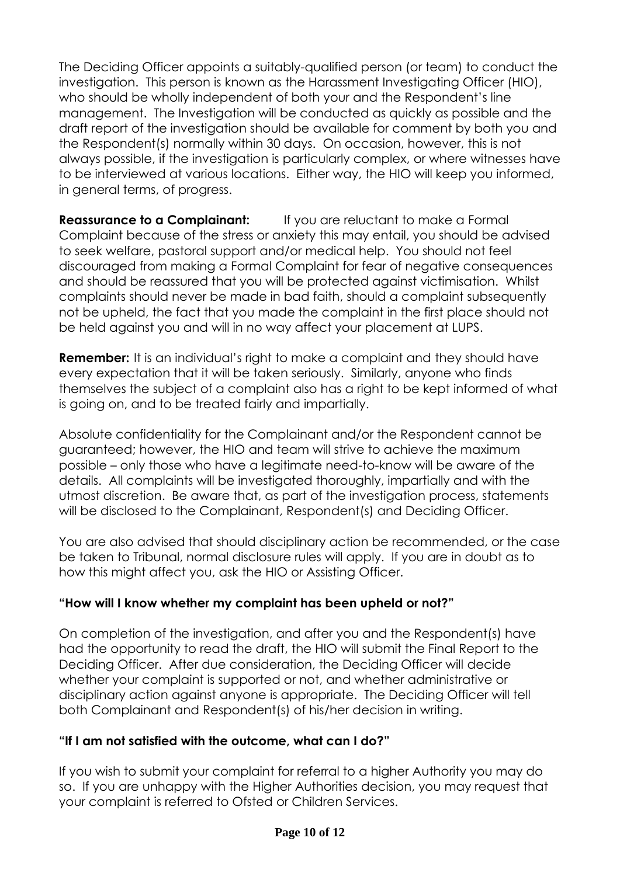The Deciding Officer appoints a suitably-qualified person (or team) to conduct the investigation. This person is known as the Harassment Investigating Officer (HIO), who should be wholly independent of both your and the Respondent's line management. The Investigation will be conducted as quickly as possible and the draft report of the investigation should be available for comment by both you and the Respondent(s) normally within 30 days. On occasion, however, this is not always possible, if the investigation is particularly complex, or where witnesses have to be interviewed at various locations. Either way, the HIO will keep you informed, in general terms, of progress.

**Reassurance to a Complainant:** If you are reluctant to make a Formal Complaint because of the stress or anxiety this may entail, you should be advised to seek welfare, pastoral support and/or medical help. You should not feel discouraged from making a Formal Complaint for fear of negative consequences and should be reassured that you will be protected against victimisation. Whilst complaints should never be made in bad faith, should a complaint subsequently not be upheld, the fact that you made the complaint in the first place should not be held against you and will in no way affect your placement at LUPS.

**Remember:** It is an individual's right to make a complaint and they should have every expectation that it will be taken seriously. Similarly, anyone who finds themselves the subject of a complaint also has a right to be kept informed of what is going on, and to be treated fairly and impartially.

Absolute confidentiality for the Complainant and/or the Respondent cannot be guaranteed; however, the HIO and team will strive to achieve the maximum possible – only those who have a legitimate need-to-know will be aware of the details. All complaints will be investigated thoroughly, impartially and with the utmost discretion. Be aware that, as part of the investigation process, statements will be disclosed to the Complainant, Respondent(s) and Deciding Officer.

You are also advised that should disciplinary action be recommended, or the case be taken to Tribunal, normal disclosure rules will apply. If you are in doubt as to how this might affect you, ask the HIO or Assisting Officer.

#### **"How will I know whether my complaint has been upheld or not?"**

On completion of the investigation, and after you and the Respondent(s) have had the opportunity to read the draft, the HIO will submit the Final Report to the Deciding Officer. After due consideration, the Deciding Officer will decide whether your complaint is supported or not, and whether administrative or disciplinary action against anyone is appropriate. The Deciding Officer will tell both Complainant and Respondent(s) of his/her decision in writing.

#### **"If I am not satisfied with the outcome, what can I do?"**

If you wish to submit your complaint for referral to a higher Authority you may do so. If you are unhappy with the Higher Authorities decision, you may request that your complaint is referred to Ofsted or Children Services.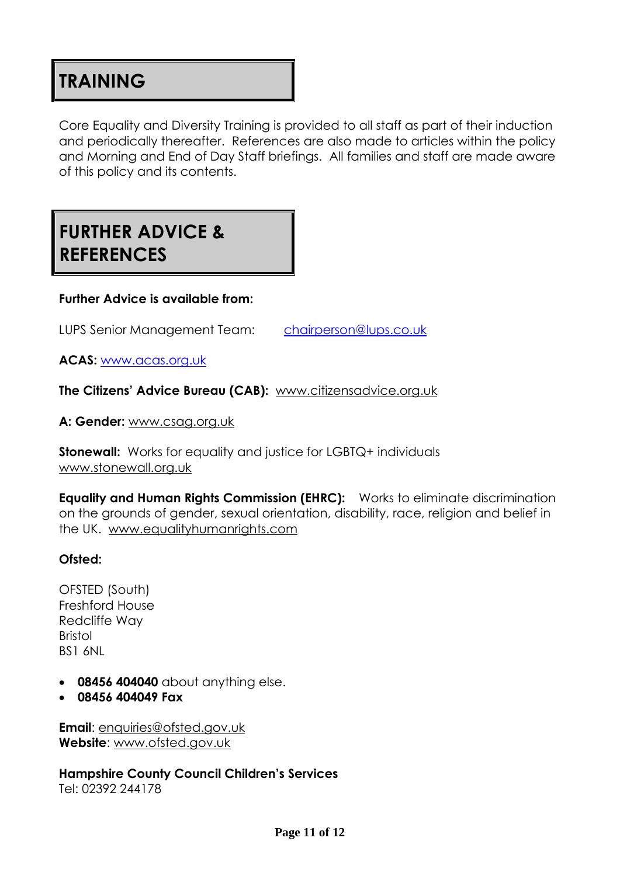## **TRAINING**

Core Equality and Diversity Training is provided to all staff as part of their induction and periodically thereafter. References are also made to articles within the policy and Morning and End of Day Staff briefings. All families and staff are made aware of this policy and its contents.

### **FURTHER ADVICE & REFERENCES**

#### **Further Advice is available from:**

LUPS Senior Management Team: [chairperson@lups.co.uk](mailto:chairperson@lups.co.uk)

**ACAS:** [www.acas.org.uk](http://www.acas.org.uk/)

**The Citizens' Advice Bureau (CAB):** [www.citizensadvice.org.uk](http://www.citizensadvice.org.uk/)

**A: Gender:** [www.csag.org.uk](http://www.csag.org.uk/)

**Stonewall:** Works for equality and justice for LGBTQ+ individuals [www.stonewall.org.uk](http://www.stonewall.org.uk/)

**Equality and Human Rights Commission (EHRC):** Works to eliminate discrimination on the grounds of gender, sexual orientation, disability, race, religion and belief in the UK. [www.equalityhumanrights.com](http://www.equalityhumanrights.com/)

#### **Ofsted:**

OFSTED (South) Freshford House Redcliffe Way Bristol BS1 6NL

- **08456 404040** about anything else.
- **08456 404049 Fax**

**Email**: [enquiries@ofsted.gov.uk](mailto:enquiries@ofsted.gov.uk) **Website**: [www.ofsted.gov.uk](http://www.ofsted.gov.uk/)

**Hampshire County Council Children's Services** Tel: 02392 244178